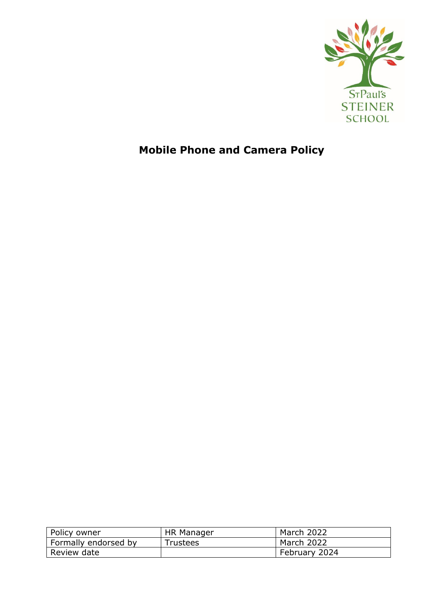

# **Mobile Phone and Camera Policy**

| Policy owner                | HR Manager | March 2022    |
|-----------------------------|------------|---------------|
| <b>Formally endorsed by</b> | Trustees   | March 2022    |
| Review date                 |            | February 2024 |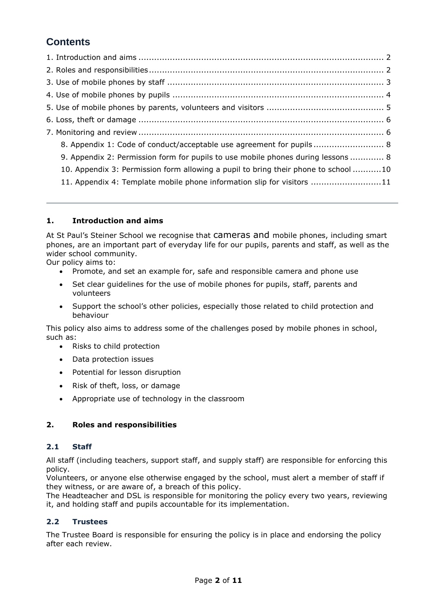# **Contents**

| 8. Appendix 1: Code of conduct/acceptable use agreement for pupils 8               |  |
|------------------------------------------------------------------------------------|--|
| 9. Appendix 2: Permission form for pupils to use mobile phones during lessons  8   |  |
| 10. Appendix 3: Permission form allowing a pupil to bring their phone to school 10 |  |
| 11. Appendix 4: Template mobile phone information slip for visitors 11             |  |

# <span id="page-1-0"></span>**1. Introduction and aims**

At St Paul's Steiner School we recognise that cameras and mobile phones, including smart phones, are an important part of everyday life for our pupils, parents and staff, as well as the wider school community.

Our policy aims to:

- Promote, and set an example for, safe and responsible camera and phone use
- Set clear guidelines for the use of mobile phones for pupils, staff, parents and volunteers
- Support the school's other policies, especially those related to child protection and behaviour

This policy also aims to address some of the challenges posed by mobile phones in school, such as:

- Risks to child protection
- Data protection issues
- Potential for lesson disruption
- Risk of theft, loss, or damage
- Appropriate use of technology in the classroom

# <span id="page-1-1"></span>**2. Roles and responsibilities**

# **2.1 Staff**

All staff (including teachers, support staff, and supply staff) are responsible for enforcing this policy.

Volunteers, or anyone else otherwise engaged by the school, must alert a member of staff if they witness, or are aware of, a breach of this policy.

The Headteacher and DSL is responsible for monitoring the policy every two years, reviewing it, and holding staff and pupils accountable for its implementation.

# **2.2 Trustees**

<span id="page-1-2"></span>The Trustee Board is responsible for ensuring the policy is in place and endorsing the policy after each review.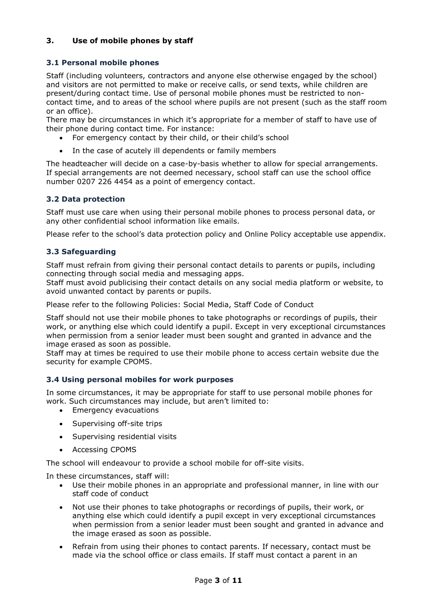# **3. Use of mobile phones by staff**

# **3.1 Personal mobile phones**

Staff (including volunteers, contractors and anyone else otherwise engaged by the school) and visitors are not permitted to make or receive calls, or send texts, while children are present/during contact time. Use of personal mobile phones must be restricted to noncontact time, and to areas of the school where pupils are not present (such as the staff room or an office).

There may be circumstances in which it's appropriate for a member of staff to have use of their phone during contact time. For instance:

- For emergency contact by their child, or their child's school
- In the case of acutely ill dependents or family members

The headteacher will decide on a case-by-basis whether to allow for special arrangements. If special arrangements are not deemed necessary, school staff can use the school office number 0207 226 4454 as a point of emergency contact.

# **3.2 Data protection**

Staff must use care when using their personal mobile phones to process personal data, or any other confidential school information like emails.

Please refer to the school's data protection policy and Online Policy acceptable use appendix.

# **3.3 Safeguarding**

Staff must refrain from giving their personal contact details to parents or pupils, including connecting through social media and messaging apps.

Staff must avoid publicising their contact details on any social media platform or website, to avoid unwanted contact by parents or pupils.

Please refer to the following Policies: Social Media, Staff Code of Conduct

Staff should not use their mobile phones to take photographs or recordings of pupils, their work, or anything else which could identify a pupil. Except in very exceptional circumstances when permission from a senior leader must been sought and granted in advance and the image erased as soon as possible.

Staff may at times be required to use their mobile phone to access certain website due the security for example CPOMS.

# **3.4 Using personal mobiles for work purposes**

In some circumstances, it may be appropriate for staff to use personal mobile phones for work. Such circumstances may include, but aren't limited to:

- **•** Emergency evacuations
- Supervising off-site trips
- Supervising residential visits
- Accessing CPOMS

The school will endeavour to provide a school mobile for off-site visits.

In these circumstances, staff will:

- Use their mobile phones in an appropriate and professional manner, in line with our staff code of conduct
- Not use their phones to take photographs or recordings of pupils, their work, or anything else which could identify a pupil except in very exceptional circumstances when permission from a senior leader must been sought and granted in advance and the image erased as soon as possible.
- Refrain from using their phones to contact parents. If necessary, contact must be made via the school office or class emails. If staff must contact a parent in an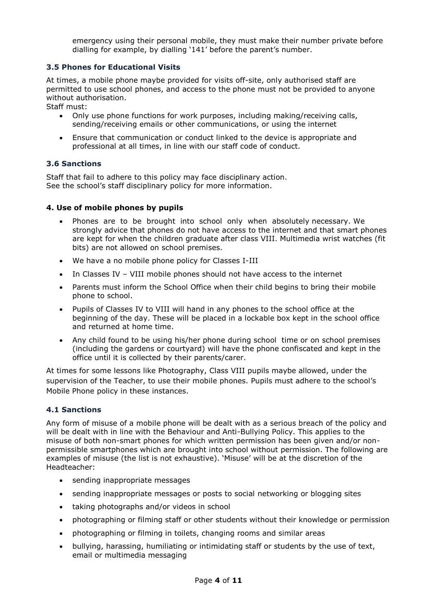emergency using their personal mobile, they must make their number private before dialling for example, by dialling '141' before the parent's number.

# **3.5 Phones for Educational Visits**

At times, a mobile phone maybe provided for visits off-site, only authorised staff are permitted to use school phones, and access to the phone must not be provided to anyone without authorisation.

Staff must:

- Only use phone functions for work purposes, including making/receiving calls, sending/receiving emails or other communications, or using the internet
- Ensure that communication or conduct linked to the device is appropriate and professional at all times, in line with our staff code of conduct.

#### **3.6 Sanctions**

Staff that fail to adhere to this policy may face disciplinary action. See the school's staff disciplinary policy for more information.

#### <span id="page-3-0"></span>**4. Use of mobile phones by pupils**

- Phones are to be brought into school only when absolutely necessary. We strongly advice that phones do not have access to the internet and that smart phones are kept for when the children graduate after class VIII. Multimedia wrist watches (fit bits) are not allowed on school premises.
- We have a no mobile phone policy for Classes I-III
- In Classes IV VIII mobile phones should not have access to the internet
- Parents must inform the School Office when their child begins to bring their mobile phone to school.
- Pupils of Classes IV to VIII will hand in any phones to the school office at the beginning of the day. These will be placed in a lockable box kept in the school office and returned at home time.
- Any child found to be using his/her phone during school time or on school premises (including the gardens or courtyard) will have the phone confiscated and kept in the office until it is collected by their parents/carer.

At times for some lessons like Photography, Class VIII pupils maybe allowed, under the supervision of the Teacher, to use their mobile phones. Pupils must adhere to the school's Mobile Phone policy in these instances.

# **4.1 Sanctions**

Any form of misuse of a mobile phone will be dealt with as a serious breach of the policy and will be dealt with in line with the Behaviour and Anti-Bullying Policy. This applies to the misuse of both non-smart phones for which written permission has been given and/or nonpermissible smartphones which are brought into school without permission. The following are examples of misuse (the list is not exhaustive). 'Misuse' will be at the discretion of the Headteacher:

- sending inappropriate messages
- sending inappropriate messages or posts to social networking or blogging sites
- taking photographs and/or videos in school
- photographing or filming staff or other students without their knowledge or permission
- photographing or filming in toilets, changing rooms and similar areas
- bullying, harassing, humiliating or intimidating staff or students by the use of text, email or multimedia messaging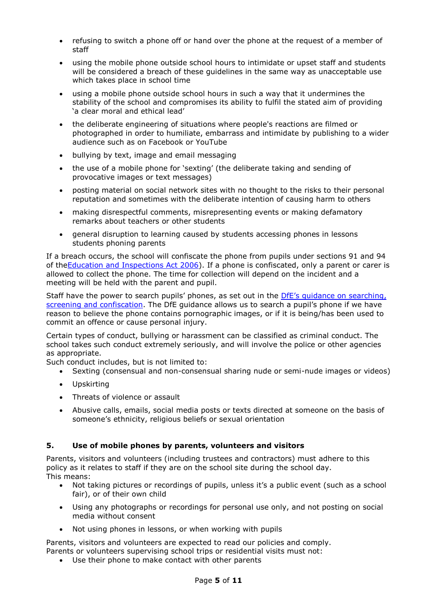- refusing to switch a phone off or hand over the phone at the request of a member of staff
- using the mobile phone outside school hours to intimidate or upset staff and students will be considered a breach of these guidelines in the same way as unacceptable use which takes place in school time
- using a mobile phone outside school hours in such a way that it undermines the stability of the school and compromises its ability to fulfil the stated aim of providing 'a clear moral and ethical lead'
- the deliberate engineering of situations where people's reactions are filmed or photographed in order to humiliate, embarrass and intimidate by publishing to a wider audience such as on Facebook or YouTube
- bullying by text, image and email messaging
- the use of a mobile phone for 'sexting' (the deliberate taking and sending of provocative images or text messages)
- posting material on social network sites with no thought to the risks to their personal reputation and sometimes with the deliberate intention of causing harm to others
- making disrespectful comments, misrepresenting events or making defamatory remarks about teachers or other students
- general disruption to learning caused by students accessing phones in lessons students phoning parents

If a breach occurs, the school will confiscate the phone from pupils under sections 91 and 94 of the Education and Inspections Act 2006). If a phone is confiscated, only a parent or carer is allowed to collect the phone. The time for collection will depend on the incident and a meeting will be held with the parent and pupil.

Staff have the power to search pupils' phones, as set out in the *DfE's quidance on searching*, [screening and confiscation](https://www.gov.uk/government/publications/searching-screening-and-confiscation). The DfE guidance allows us to search a pupil's phone if we have reason to believe the phone contains pornographic images, or if it is being/has been used to commit an offence or cause personal injury.

Certain types of conduct, bullying or harassment can be classified as criminal conduct. The school takes such conduct extremely seriously, and will involve the police or other agencies as appropriate.

Such conduct includes, but is not limited to:

- Sexting (consensual and non-consensual sharing nude or semi-nude images or videos)
- Upskirting
- Threats of violence or assault
- Abusive calls, emails, social media posts or texts directed at someone on the basis of someone's ethnicity, religious beliefs or sexual orientation

# <span id="page-4-0"></span>**5. Use of mobile phones by parents, volunteers and visitors**

Parents, visitors and volunteers (including trustees and contractors) must adhere to this policy as it relates to staff if they are on the school site during the school day. This means:

- Not taking pictures or recordings of pupils, unless it's a public event (such as a school fair), or of their own child
- Using any photographs or recordings for personal use only, and not posting on social media without consent
- Not using phones in lessons, or when working with pupils

Parents, visitors and volunteers are expected to read our policies and comply. Parents or volunteers supervising school trips or residential visits must not:

Use their phone to make contact with other parents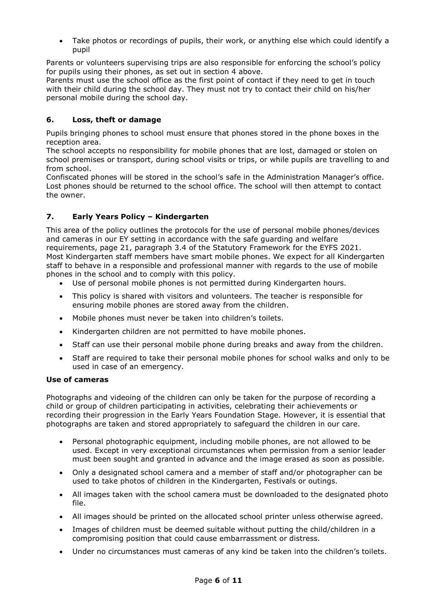Take photos or recordings of pupils, their work, or anything else which could identify a pupil

Parents or volunteers supervising trips are also responsible for enforcing the school's policy for pupils using their phones, as set out in section 4 above.

Parents must use the school office as the first point of contact if they need to get in touch with their child during the school day. They must not try to contact their child on his/her personal mobile during the school day.

# <span id="page-5-0"></span>**6. Loss, theft or damage**

Pupils bringing phones to school must ensure that phones stored in the phone boxes in the reception area.

The school accepts no responsibility for mobile phones that are lost, damaged or stolen on school premises or transport, during school visits or trips, or while pupils are travelling to and from school.

Confiscated phones will be stored in the school's safe in the Administration Manager's office. Lost phones should be returned to the school office. The school will then attempt to contact the owner.

# <span id="page-5-1"></span>**7. Early Years Policy – Kindergarten**

This area of the policy outlines the protocols for the use of personal mobile phones/devices and cameras in our EY setting in accordance with the safe guarding and welfare requirements, page 21, paragraph 3.4 of the Statutory Framework for the EYFS 2021. Most Kindergarten staff members have smart mobile phones. We expect for all Kindergarten staff to behave in a responsible and professional manner with regards to the use of mobile phones in the school and to comply with this policy.

- Use of personal mobile phones is not permitted during Kindergarten hours.
- This policy is shared with visitors and volunteers. The teacher is responsible for ensuring mobile phones are stored away from the children.
- Mobile phones must never be taken into children's toilets.
- Kindergarten children are not permitted to have mobile phones.
- Staff can use their personal mobile phone during breaks and away from the children.
- Staff are required to take their personal mobile phones for school walks and only to be used in case of an emergency.

#### **Use of cameras**

Photographs and videoing of the children can only be taken for the purpose of recording a child or group of children participating in activities, celebrating their achievements or recording their progression in the Early Years Foundation Stage. However, it is essential that photographs are taken and stored appropriately to safeguard the children in our care.

- Personal photographic equipment, including mobile phones, are not allowed to be used. Except in very exceptional circumstances when permission from a senior leader must been sought and granted in advance and the image erased as soon as possible.
- Only a designated school camera and a member of staff and/or photographer can be used to take photos of children in the Kindergarten, Festivals or outings.
- All images taken with the school camera must be downloaded to the designated photo file.
- All images should be printed on the allocated school printer unless otherwise agreed.
- Images of children must be deemed suitable without putting the child/children in a compromising position that could cause embarrassment or distress.
- Under no circumstances must cameras of any kind be taken into the children's toilets.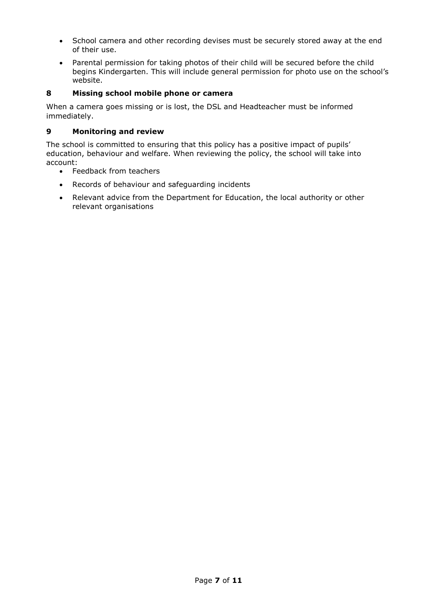- School camera and other recording devises must be securely stored away at the end of their use.
- Parental permission for taking photos of their child will be secured before the child begins Kindergarten. This will include general permission for photo use on the school's website.

# **8 Missing school mobile phone or camera**

When a camera goes missing or is lost, the DSL and Headteacher must be informed immediately.

#### **9 Monitoring and review**

The school is committed to ensuring that this policy has a positive impact of pupils' education, behaviour and welfare. When reviewing the policy, the school will take into account:

- Feedback from teachers
- Records of behaviour and safeguarding incidents
- Relevant advice from the Department for Education, the local authority or other relevant organisations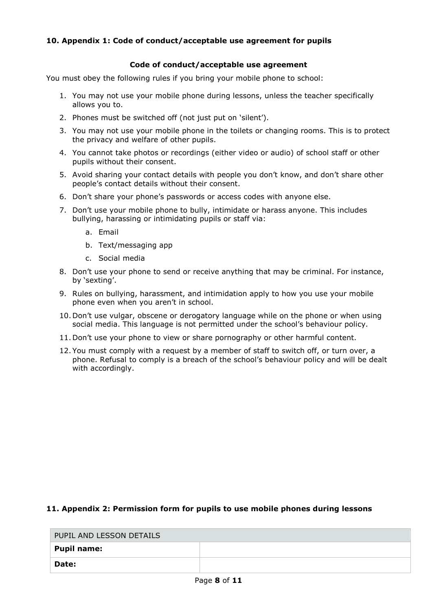# <span id="page-7-0"></span>**10. Appendix 1: Code of conduct/acceptable use agreement for pupils**

#### **Code of conduct/acceptable use agreement**

You must obey the following rules if you bring your mobile phone to school:

- 1. You may not use your mobile phone during lessons, unless the teacher specifically allows you to.
- 2. Phones must be switched off (not just put on 'silent').
- 3. You may not use your mobile phone in the toilets or changing rooms. This is to protect the privacy and welfare of other pupils.
- 4. You cannot take photos or recordings (either video or audio) of school staff or other pupils without their consent.
- 5. Avoid sharing your contact details with people you don't know, and don't share other people's contact details without their consent.
- 6. Don't share your phone's passwords or access codes with anyone else.
- 7. Don't use your mobile phone to bully, intimidate or harass anyone. This includes bullying, harassing or intimidating pupils or staff via:
	- a. Email
	- b. Text/messaging app
	- c. Social media
- 8. Don't use your phone to send or receive anything that may be criminal. For instance, by 'sexting'.
- 9. Rules on bullying, harassment, and intimidation apply to how you use your mobile phone even when you aren't in school.
- 10. Don't use vulgar, obscene or derogatory language while on the phone or when using social media. This language is not permitted under the school's behaviour policy.
- 11. Don't use your phone to view or share pornography or other harmful content.
- 12. You must comply with a request by a member of staff to switch off, or turn over, a phone. Refusal to comply is a breach of the school's behaviour policy and will be dealt with accordingly.

# <span id="page-7-1"></span>**11. Appendix 2: Permission form for pupils to use mobile phones during lessons**

| PUPIL AND LESSON DETAILS |  |  |
|--------------------------|--|--|
| Pupil name:              |  |  |
| Date:                    |  |  |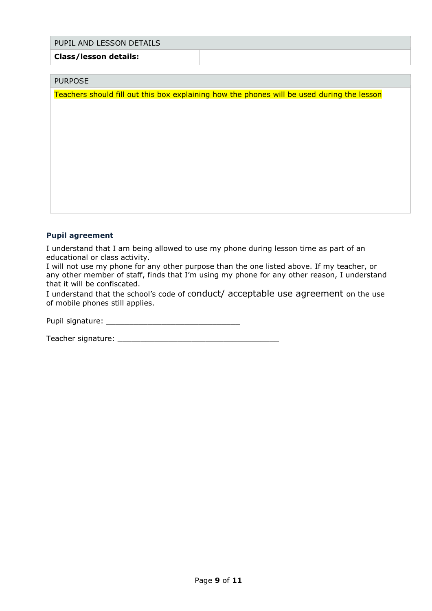#### PUPIL AND LESSON DETAILS

#### **Class/lesson details:**

#### PURPOSE

Teachers should fill out this box explaining how the phones will be used during the lesson

# **Pupil agreement**

I understand that I am being allowed to use my phone during lesson time as part of an educational or class activity.

I will not use my phone for any other purpose than the one listed above. If my teacher, or any other member of staff, finds that I'm using my phone for any other reason, I understand that it will be confiscated.

I understand that the school's code of conduct/ acceptable use agreement on the use of mobile phones still applies.

Pupil signature: \_\_\_\_\_\_\_\_\_\_\_\_\_\_\_\_\_\_\_\_\_\_\_\_\_\_\_\_\_

Teacher signature: \_\_\_\_\_\_\_\_\_\_\_\_\_\_\_\_\_\_\_\_\_\_\_\_\_\_\_\_\_\_\_\_\_\_\_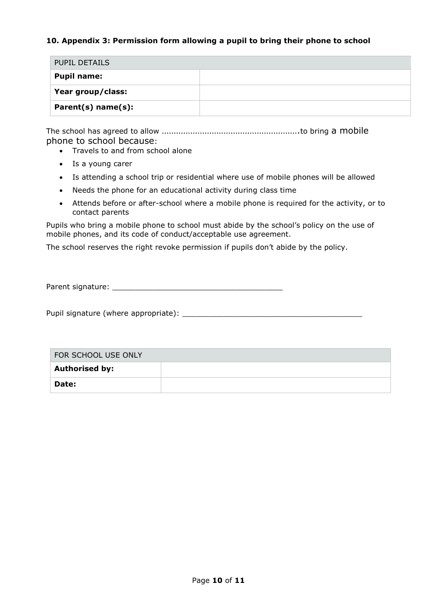# <span id="page-9-0"></span>**10. Appendix 3: Permission form allowing a pupil to bring their phone to school**

| PUPIL DETAILS        |  |
|----------------------|--|
| <b>Pupil name:</b>   |  |
| Year group/class:    |  |
| $Parent(s)$ name(s): |  |

The school has agreed to allow ………………………………………………….to bring a mobile phone to school because:

- Travels to and from school alone
- Is a young carer
- Is attending a school trip or residential where use of mobile phones will be allowed
- Needs the phone for an educational activity during class time
- Attends before or after-school where a mobile phone is required for the activity, or to contact parents

Pupils who bring a mobile phone to school must abide by the school's policy on the use of mobile phones, and its code of conduct/acceptable use agreement.

The school reserves the right revoke permission if pupils don't abide by the policy.

Parent signature: \_\_\_\_\_\_\_\_\_\_\_\_\_\_\_\_\_\_\_\_\_\_\_\_\_\_\_\_\_\_\_\_\_\_\_\_\_

Pupil signature (where appropriate): \_\_\_\_\_\_\_\_\_\_\_\_\_\_\_\_\_\_\_\_\_\_\_\_\_\_\_\_\_\_\_\_\_\_\_\_\_\_\_

| FOR SCHOOL USE ONLY   |  |  |
|-----------------------|--|--|
| <b>Authorised by:</b> |  |  |
| <b>Date:</b>          |  |  |